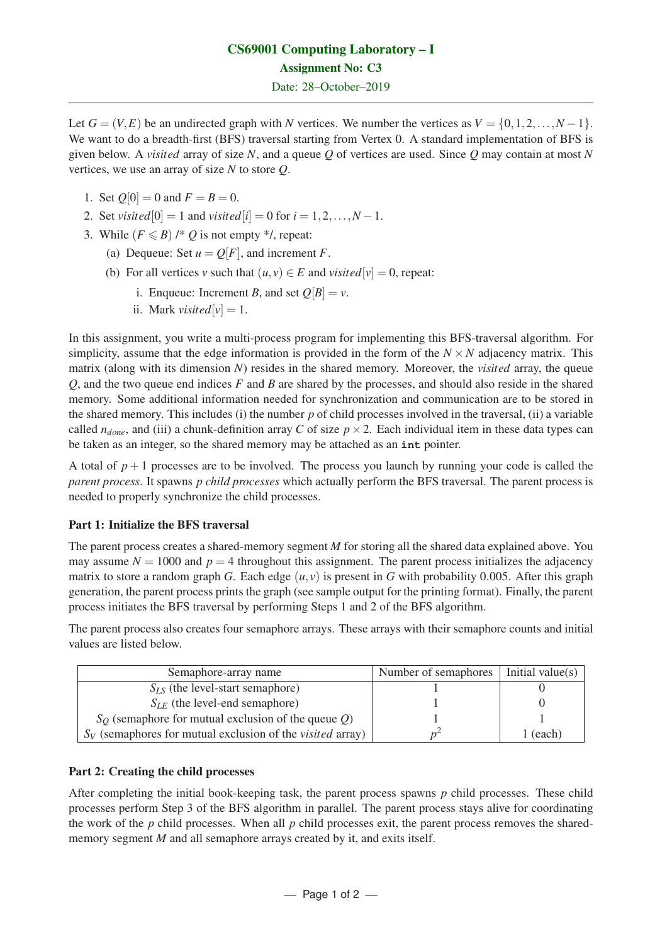# CS69001 Computing Laboratory – I Assignment No: C3 Date: 28–October–2019

Let  $G = (V, E)$  be an undirected graph with *N* vertices. We number the vertices as  $V = \{0, 1, 2, ..., N - 1\}$ . We want to do a breadth-first (BFS) traversal starting from Vertex 0. A standard implementation of BFS is given below. A *visited* array of size *N*, and a queue *Q* of vertices are used. Since *Q* may contain at most *N* vertices, we use an array of size *N* to store *Q*.

- 1. Set  $Q[0] = 0$  and  $F = B = 0$ .
- 2. Set *visited*[0] = 1 and *visited*[ $i$ ] = 0 for  $i = 1, 2, ..., N 1$ .
- 3. While  $(F \leq B)$  /\* Q is not empty \*/, repeat:
	- (a) Dequeue: Set  $u = O[F]$ , and increment *F*.
	- (b) For all vertices *v* such that  $(u, v) \in E$  and *visited*[ $v$ ] = 0, repeat:
		- i. Enqueue: Increment *B*, and set  $Q[B] = v$ .
		- ii. Mark *visited*[ $v$ ] = 1.

In this assignment, you write a multi-process program for implementing this BFS-traversal algorithm. For simplicity, assume that the edge information is provided in the form of the  $N \times N$  adjacency matrix. This matrix (along with its dimension *N*) resides in the shared memory. Moreover, the *visited* array, the queue *Q*, and the two queue end indices *F* and *B* are shared by the processes, and should also reside in the shared memory. Some additional information needed for synchronization and communication are to be stored in the shared memory. This includes (i) the number *p* of child processes involved in the traversal, (ii) a variable called  $n_{done}$ , and (iii) a chunk-definition array *C* of size  $p \times 2$ . Each individual item in these data types can be taken as an integer, so the shared memory may be attached as an **int** pointer.

A total of  $p+1$  processes are to be involved. The process you launch by running your code is called the *parent process*. It spawns *p child processes* which actually perform the BFS traversal. The parent process is needed to properly synchronize the child processes.

## Part 1: Initialize the BFS traversal

The parent process creates a shared-memory segment *M* for storing all the shared data explained above. You may assume  $N = 1000$  and  $p = 4$  throughout this assignment. The parent process initializes the adjacency matrix to store a random graph *G*. Each edge  $(u, v)$  is present in *G* with probability 0.005. After this graph generation, the parent process prints the graph (see sample output for the printing format). Finally, the parent process initiates the BFS traversal by performing Steps 1 and 2 of the BFS algorithm.

The parent process also creates four semaphore arrays. These arrays with their semaphore counts and initial values are listed below.

| Semaphore-array name                                                | Number of semaphores | Initial value(s) $\vert$ |
|---------------------------------------------------------------------|----------------------|--------------------------|
| $S_{LS}$ (the level-start semaphore)                                |                      |                          |
| $S_{LE}$ (the level-end semaphore)                                  |                      |                          |
| $S_O$ (semaphore for mutual exclusion of the queue Q)               |                      |                          |
| $S_V$ (semaphores for mutual exclusion of the <i>visited</i> array) |                      | (each)                   |

## Part 2: Creating the child processes

After completing the initial book-keeping task, the parent process spawns *p* child processes. These child processes perform Step 3 of the BFS algorithm in parallel. The parent process stays alive for coordinating the work of the *p* child processes. When all *p* child processes exit, the parent process removes the sharedmemory segment *M* and all semaphore arrays created by it, and exits itself.